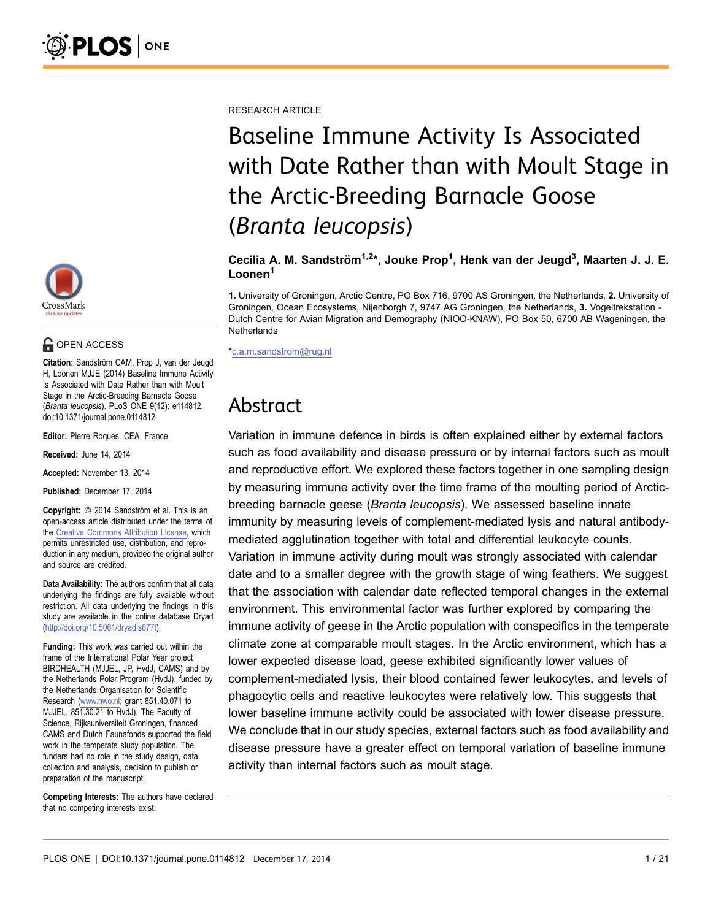RESEARCH ARTICLE

# Baseline Immune Activity Is Associated with Date Rather than with Moult Stage in the Arctic-Breeding Barnacle Goose (Branta leucopsis)

Cecilia A. M. Sandström<sup>1,2\*</sup>, Jouke Prop<sup>1</sup>, Henk van der Jeugd<sup>3</sup>, Maarten J. J. E. Loonen<sup>1</sup>

1. University of Groningen, Arctic Centre, PO Box 716, 9700 AS Groningen, the Netherlands, 2. University of Groningen, Ocean Ecosystems, Nijenborgh 7, 9747 AG Groningen, the Netherlands, 3. Vogeltrekstation - Dutch Centre for Avian Migration and Demography (NIOO-KNAW), PO Box 50, 6700 AB Wageningen, the **Netherlands** 

\*c.a.m.sandstrom@rug.nl

## Abstract

Variation in immune defence in birds is often explained either by external factors such as food availability and disease pressure or by internal factors such as moult and reproductive effort. We explored these factors together in one sampling design by measuring immune activity over the time frame of the moulting period of Arcticbreeding barnacle geese (Branta leucopsis). We assessed baseline innate immunity by measuring levels of complement-mediated lysis and natural antibodymediated agglutination together with total and differential leukocyte counts. Variation in immune activity during moult was strongly associated with calendar date and to a smaller degree with the growth stage of wing feathers. We suggest that the association with calendar date reflected temporal changes in the external environment. This environmental factor was further explored by comparing the immune activity of geese in the Arctic population with conspecifics in the temperate climate zone at comparable moult stages. In the Arctic environment, which has a lower expected disease load, geese exhibited significantly lower values of complement-mediated lysis, their blood contained fewer leukocytes, and levels of phagocytic cells and reactive leukocytes were relatively low. This suggests that lower baseline immune activity could be associated with lower disease pressure. We conclude that in our study species, external factors such as food availability and disease pressure have a greater effect on temporal variation of baseline immune activity than internal factors such as moult stage.



### **G** OPEN ACCESS

Citation: Sandström CAM, Prop J, van der Jeugd H, Loonen MJJE (2014) Baseline Immune Activity Is Associated with Date Rather than with Moult Stage in the Arctic-Breeding Barnacle Goose (Branta leucopsis). PLoS ONE 9(12): e114812. doi:10.1371/journal.pone.0114812

Editor: Pierre Roques, CEA, France

Received: June 14, 2014

Accepted: November 13, 2014

Published: December 17, 2014

Copyright: © 2014 Sandström et al. This is an open-access article distributed under the terms of the [Creative Commons Attribution License](http://creativecommons.org/licenses/by/4.0/), which permits unrestricted use, distribution, and reproduction in any medium, provided the original author and source are credited.

Data Availability: The authors confirm that all data underlying the findings are fully available without restriction. All data underlying the findings in this study are available in the online database Dryad [\(http://doi.org/10.5061/dryad.s677t](http://doi.org/10.5061/dryad.s677t)).

Funding: This work was carried out within the frame of the International Polar Year project BIRDHEALTH (MJJEL, JP, HvdJ, CAMS) and by the Netherlands Polar Program (HvdJ), funded by the Netherlands Organisation for Scientific Research [\(www.nwo.nl;](www.nwo.nl) grant 851.40.071 to MJJEL, 851.30.21 to HvdJ). The Faculty of Science, Rijksuniversiteit Groningen, financed CAMS and Dutch Faunafonds supported the field work in the temperate study population. The funders had no role in the study design, data collection and analysis, decision to publish or preparation of the manuscript.

Competing Interests: The authors have declared that no competing interests exist.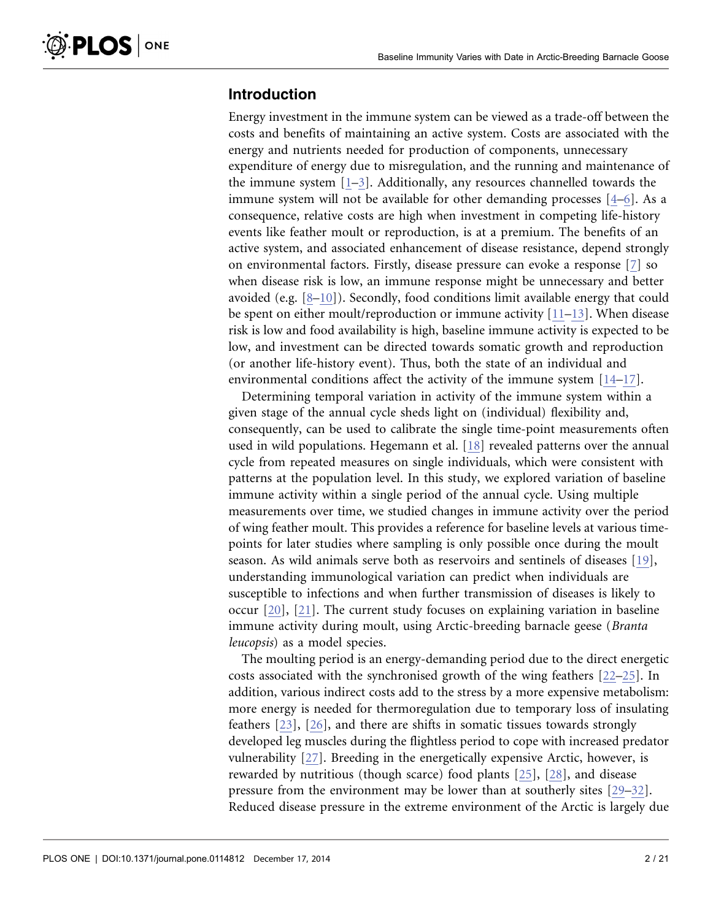## Introduction

Energy investment in the immune system can be viewed as a trade-off between the costs and benefits of maintaining an active system. Costs are associated with the energy and nutrients needed for production of components, unnecessary expenditure of energy due to misregulation, and the running and maintenance of the immune system  $[1-3]$ . Additionally, any resources channelled towards the immune system will not be available for other demanding processes [\[4–6\].](#page-16-0) As a consequence, relative costs are high when investment in competing life-history events like feather moult or reproduction, is at a premium. The benefits of an active system, and associated enhancement of disease resistance, depend strongly on environmental factors. Firstly, disease pressure can evoke a response [\[7\]](#page-17-0) so when disease risk is low, an immune response might be unnecessary and better avoided (e.g.  $[8-10]$ ). Secondly, food conditions limit available energy that could be spent on either moult/reproduction or immune activity  $[11-13]$ . When disease risk is low and food availability is high, baseline immune activity is expected to be low, and investment can be directed towards somatic growth and reproduction (or another life-history event). Thus, both the state of an individual and environmental conditions affect the activity of the immune system [\[14–17\]](#page-17-0).

Determining temporal variation in activity of the immune system within a given stage of the annual cycle sheds light on (individual) flexibility and, consequently, can be used to calibrate the single time-point measurements often used in wild populations. Hegemann et al. [\[18\]](#page-17-0) revealed patterns over the annual cycle from repeated measures on single individuals, which were consistent with patterns at the population level. In this study, we explored variation of baseline immune activity within a single period of the annual cycle. Using multiple measurements over time, we studied changes in immune activity over the period of wing feather moult. This provides a reference for baseline levels at various timepoints for later studies where sampling is only possible once during the moult season. As wild animals serve both as reservoirs and sentinels of diseases [\[19\],](#page-17-0) understanding immunological variation can predict when individuals are susceptible to infections and when further transmission of diseases is likely to occur [\[20\], \[21\].](#page-17-0) The current study focuses on explaining variation in baseline immune activity during moult, using Arctic-breeding barnacle geese (Branta leucopsis) as a model species.

The moulting period is an energy-demanding period due to the direct energetic costs associated with the synchronised growth of the wing feathers [\[22–25\]](#page-17-0). In addition, various indirect costs add to the stress by a more expensive metabolism: more energy is needed for thermoregulation due to temporary loss of insulating feathers [\[23\], \[26\],](#page-17-0) and there are shifts in somatic tissues towards strongly developed leg muscles during the flightless period to cope with increased predator vulnerability [\[27\].](#page-17-0) Breeding in the energetically expensive Arctic, however, is rewarded by nutritious (though scarce) food plants [\[25\]](#page-17-0), [\[28\]](#page-18-0), and disease pressure from the environment may be lower than at southerly sites [\[29–32\].](#page-18-0) Reduced disease pressure in the extreme environment of the Arctic is largely due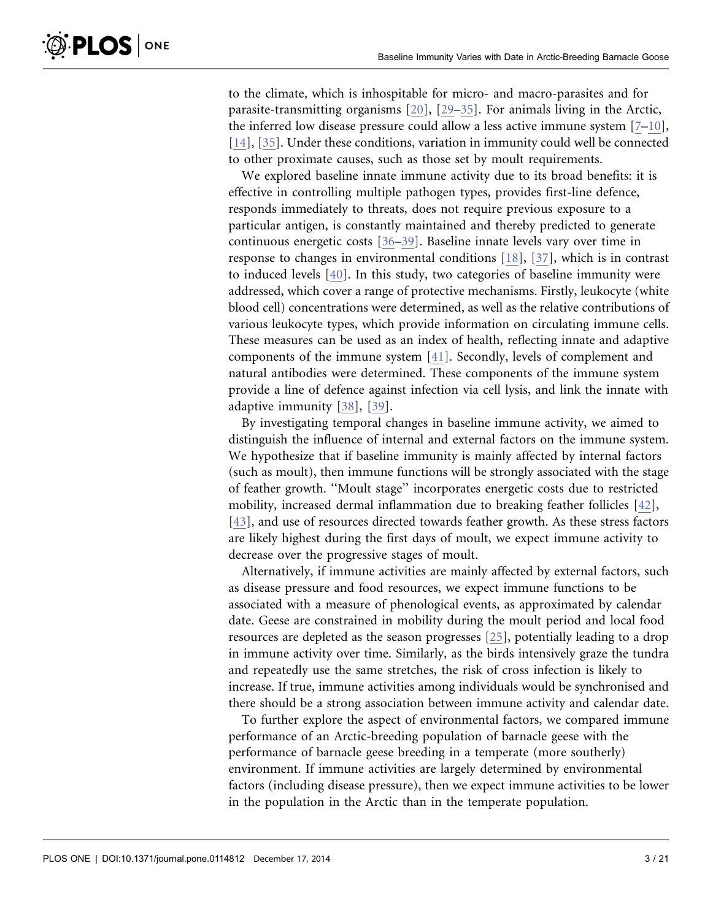to the climate, which is inhospitable for micro- and macro-parasites and for parasite-transmitting organisms [\[20\]](#page-17-0), [\[29–35\]](#page-18-0). For animals living in the Arctic, the inferred low disease pressure could allow a less active immune system [\[7–10\]](#page-17-0), [\[14\],](#page-17-0) [\[35\].](#page-18-0) Under these conditions, variation in immunity could well be connected to other proximate causes, such as those set by moult requirements.

We explored baseline innate immune activity due to its broad benefits: it is effective in controlling multiple pathogen types, provides first-line defence, responds immediately to threats, does not require previous exposure to a particular antigen, is constantly maintained and thereby predicted to generate continuous energetic costs [\[36–39\]](#page-18-0). Baseline innate levels vary over time in response to changes in environmental conditions [\[18\],](#page-17-0) [\[37\],](#page-18-0) which is in contrast to induced levels [\[40\].](#page-18-0) In this study, two categories of baseline immunity were addressed, which cover a range of protective mechanisms. Firstly, leukocyte (white blood cell) concentrations were determined, as well as the relative contributions of various leukocyte types, which provide information on circulating immune cells. These measures can be used as an index of health, reflecting innate and adaptive components of the immune system [\[41\]](#page-18-0). Secondly, levels of complement and natural antibodies were determined. These components of the immune system provide a line of defence against infection via cell lysis, and link the innate with adaptive immunity [\[38\], \[39\].](#page-18-0)

By investigating temporal changes in baseline immune activity, we aimed to distinguish the influence of internal and external factors on the immune system. We hypothesize that if baseline immunity is mainly affected by internal factors (such as moult), then immune functions will be strongly associated with the stage of feather growth. ''Moult stage'' incorporates energetic costs due to restricted mobility, increased dermal inflammation due to breaking feather follicles [\[42\],](#page-18-0) [\[43\],](#page-18-0) and use of resources directed towards feather growth. As these stress factors are likely highest during the first days of moult, we expect immune activity to decrease over the progressive stages of moult.

Alternatively, if immune activities are mainly affected by external factors, such as disease pressure and food resources, we expect immune functions to be associated with a measure of phenological events, as approximated by calendar date. Geese are constrained in mobility during the moult period and local food resources are depleted as the season progresses [\[25\]](#page-17-0), potentially leading to a drop in immune activity over time. Similarly, as the birds intensively graze the tundra and repeatedly use the same stretches, the risk of cross infection is likely to increase. If true, immune activities among individuals would be synchronised and there should be a strong association between immune activity and calendar date.

To further explore the aspect of environmental factors, we compared immune performance of an Arctic-breeding population of barnacle geese with the performance of barnacle geese breeding in a temperate (more southerly) environment. If immune activities are largely determined by environmental factors (including disease pressure), then we expect immune activities to be lower in the population in the Arctic than in the temperate population.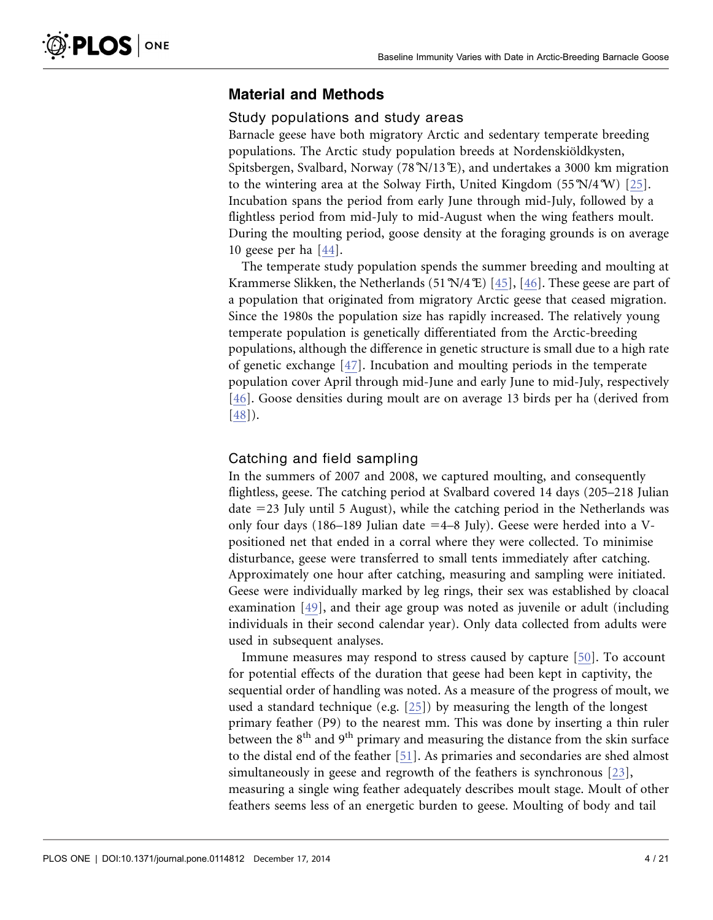### Material and Methods

### Study populations and study areas

Barnacle geese have both migratory Arctic and sedentary temperate breeding populations. The Arctic study population breeds at Nordenskiöldkysten, Spitsbergen, Svalbard, Norway (78˚N/13˚E), and undertakes a 3000 km migration to the wintering area at the Solway Firth, United Kingdom  $(55N/4W)$  [\[25\].](#page-17-0) Incubation spans the period from early June through mid-July, followed by a flightless period from mid-July to mid-August when the wing feathers moult. During the moulting period, goose density at the foraging grounds is on average 10 geese per ha [\[44\].](#page-18-0)

The temperate study population spends the summer breeding and moulting at Krammerse Slikken, the Netherlands (51°N/4°E) [\[45\], \[46\].](#page-18-0) These geese are part of a population that originated from migratory Arctic geese that ceased migration. Since the 1980s the population size has rapidly increased. The relatively young temperate population is genetically differentiated from the Arctic-breeding populations, although the difference in genetic structure is small due to a high rate of genetic exchange [\[47\]](#page-18-0). Incubation and moulting periods in the temperate population cover April through mid-June and early June to mid-July, respectively [\[46\].](#page-18-0) Goose densities during moult are on average 13 birds per ha (derived from [\[48\]\)](#page-18-0).

### Catching and field sampling

In the summers of 2007 and 2008, we captured moulting, and consequently flightless, geese. The catching period at Svalbard covered 14 days (205–218 Julian date  $=$  23 July until 5 August), while the catching period in the Netherlands was only four days (186–189 Julian date  $=4-8$  July). Geese were herded into a Vpositioned net that ended in a corral where they were collected. To minimise disturbance, geese were transferred to small tents immediately after catching. Approximately one hour after catching, measuring and sampling were initiated. Geese were individually marked by leg rings, their sex was established by cloacal examination [\[49\],](#page-18-0) and their age group was noted as juvenile or adult (including individuals in their second calendar year). Only data collected from adults were used in subsequent analyses.

Immune measures may respond to stress caused by capture [\[50\].](#page-18-0) To account for potential effects of the duration that geese had been kept in captivity, the sequential order of handling was noted. As a measure of the progress of moult, we used a standard technique (e.g. [\[25\]\)](#page-17-0) by measuring the length of the longest primary feather (P9) to the nearest mm. This was done by inserting a thin ruler between the 8<sup>th</sup> and 9<sup>th</sup> primary and measuring the distance from the skin surface to the distal end of the feather [\[51\].](#page-19-0) As primaries and secondaries are shed almost simultaneously in geese and regrowth of the feathers is synchronous [\[23\]](#page-17-0), measuring a single wing feather adequately describes moult stage. Moult of other feathers seems less of an energetic burden to geese. Moulting of body and tail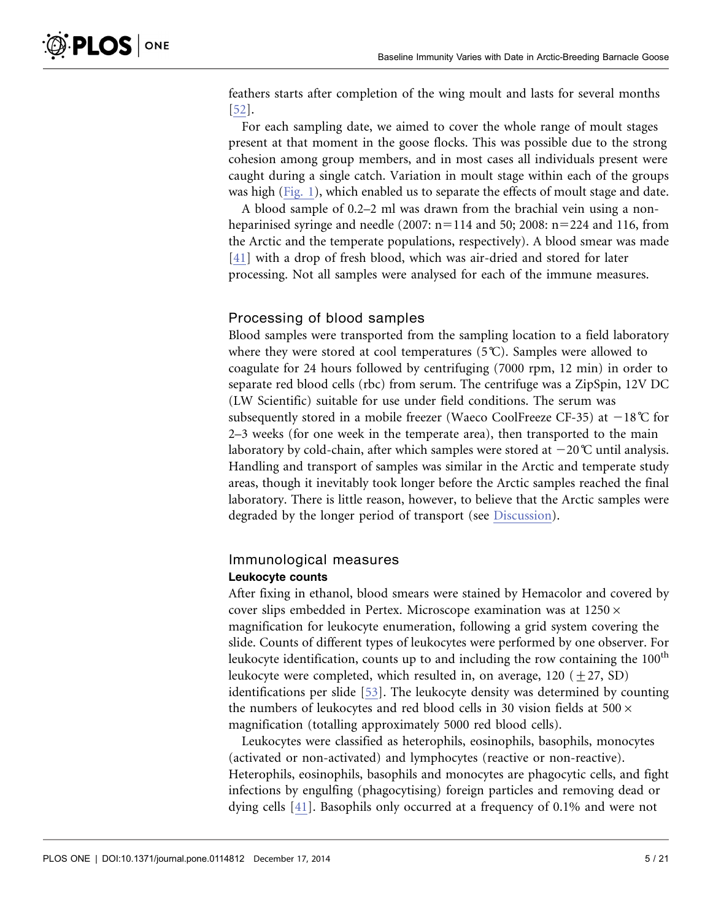feathers starts after completion of the wing moult and lasts for several months [\[52\].](#page-19-0)

For each sampling date, we aimed to cover the whole range of moult stages present at that moment in the goose flocks. This was possible due to the strong cohesion among group members, and in most cases all individuals present were caught during a single catch. Variation in moult stage within each of the groups was high ([Fig. 1\)](#page-5-0), which enabled us to separate the effects of moult stage and date.

A blood sample of 0.2–2 ml was drawn from the brachial vein using a nonheparinised syringe and needle (2007:  $n=114$  and 50; 2008:  $n=224$  and 116, from the Arctic and the temperate populations, respectively). A blood smear was made [\[41\]](#page-18-0) with a drop of fresh blood, which was air-dried and stored for later processing. Not all samples were analysed for each of the immune measures.

### Processing of blood samples

Blood samples were transported from the sampling location to a field laboratory where they were stored at cool temperatures (5˚C). Samples were allowed to coagulate for 24 hours followed by centrifuging (7000 rpm, 12 min) in order to separate red blood cells (rbc) from serum. The centrifuge was a ZipSpin, 12V DC (LW Scientific) suitable for use under field conditions. The serum was subsequently stored in a mobile freezer (Waeco CoolFreeze CF-35) at  $-18^{\circ}$ C for 2–3 weeks (for one week in the temperate area), then transported to the main laboratory by cold-chain, after which samples were stored at  $-20^{\circ}$ C until analysis. Handling and transport of samples was similar in the Arctic and temperate study areas, though it inevitably took longer before the Arctic samples reached the final laboratory. There is little reason, however, to believe that the Arctic samples were degraded by the longer period of transport (see [Discussion](#page-10-0)).

### Immunological measures Leukocyte counts

After fixing in ethanol, blood smears were stained by Hemacolor and covered by cover slips embedded in Pertex. Microscope examination was at  $1250 \times$ magnification for leukocyte enumeration, following a grid system covering the slide. Counts of different types of leukocytes were performed by one observer. For leukocyte identification, counts up to and including the row containing the 100<sup>th</sup> leukocyte were completed, which resulted in, on average, 120 ( $\pm$ 27, SD) identifications per slide [\[53\]](#page-19-0). The leukocyte density was determined by counting the numbers of leukocytes and red blood cells in 30 vision fields at  $500 \times$ magnification (totalling approximately 5000 red blood cells).

Leukocytes were classified as heterophils, eosinophils, basophils, monocytes (activated or non-activated) and lymphocytes (reactive or non-reactive). Heterophils, eosinophils, basophils and monocytes are phagocytic cells, and fight infections by engulfing (phagocytising) foreign particles and removing dead or dying cells [\[41\].](#page-18-0) Basophils only occurred at a frequency of 0.1% and were not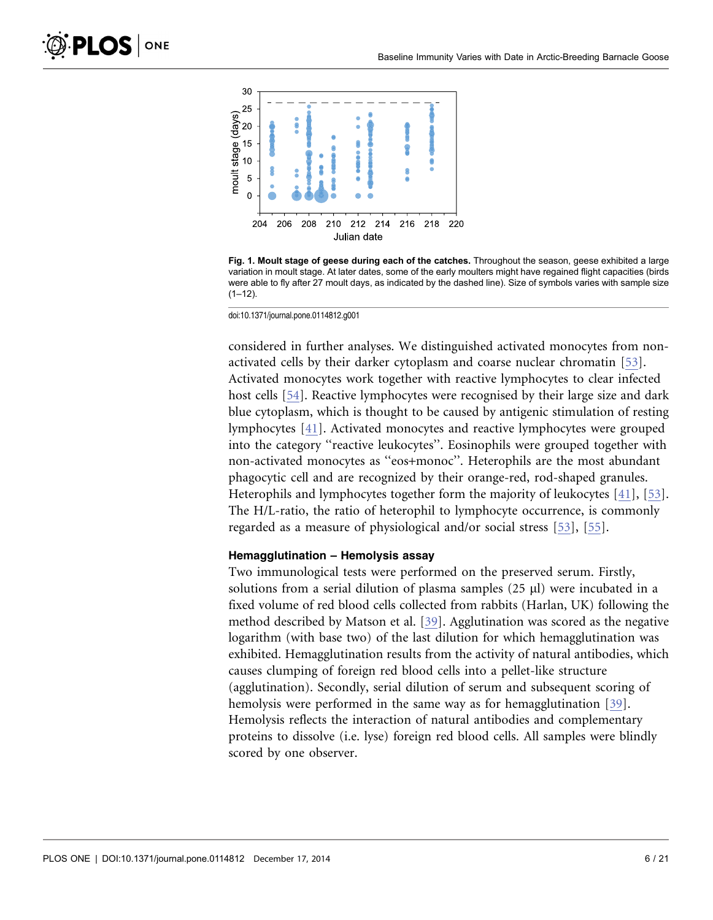<span id="page-5-0"></span>

Fig. 1. Moult stage of geese during each of the catches. Throughout the season, geese exhibited a large variation in moult stage. At later dates, some of the early moulters might have regained flight capacities (birds were able to fly after 27 moult days, as indicated by the dashed line). Size of symbols varies with sample size  $(1-12)$ .

doi:10.1371/journal.pone.0114812.g001

considered in further analyses. We distinguished activated monocytes from nonactivated cells by their darker cytoplasm and coarse nuclear chromatin [\[53\].](#page-19-0) Activated monocytes work together with reactive lymphocytes to clear infected host cells [\[54\].](#page-19-0) Reactive lymphocytes were recognised by their large size and dark blue cytoplasm, which is thought to be caused by antigenic stimulation of resting lymphocytes [\[41\].](#page-18-0) Activated monocytes and reactive lymphocytes were grouped into the category ''reactive leukocytes''. Eosinophils were grouped together with non-activated monocytes as ''eos+monoc''. Heterophils are the most abundant phagocytic cell and are recognized by their orange-red, rod-shaped granules. Heterophils and lymphocytes together form the majority of leukocytes [\[41\],](#page-18-0) [\[53\]](#page-19-0). The H/L-ratio, the ratio of heterophil to lymphocyte occurrence, is commonly regarded as a measure of physiological and/or social stress [\[53\]](#page-19-0), [\[55\].](#page-19-0)

### Hemagglutination – Hemolysis assay

Two immunological tests were performed on the preserved serum. Firstly, solutions from a serial dilution of plasma samples  $(25 \mu l)$  were incubated in a fixed volume of red blood cells collected from rabbits (Harlan, UK) following the method described by Matson et al. [\[39\]](#page-18-0). Agglutination was scored as the negative logarithm (with base two) of the last dilution for which hemagglutination was exhibited. Hemagglutination results from the activity of natural antibodies, which causes clumping of foreign red blood cells into a pellet-like structure (agglutination). Secondly, serial dilution of serum and subsequent scoring of hemolysis were performed in the same way as for hemagglutination [\[39\]](#page-18-0). Hemolysis reflects the interaction of natural antibodies and complementary proteins to dissolve (i.e. lyse) foreign red blood cells. All samples were blindly scored by one observer.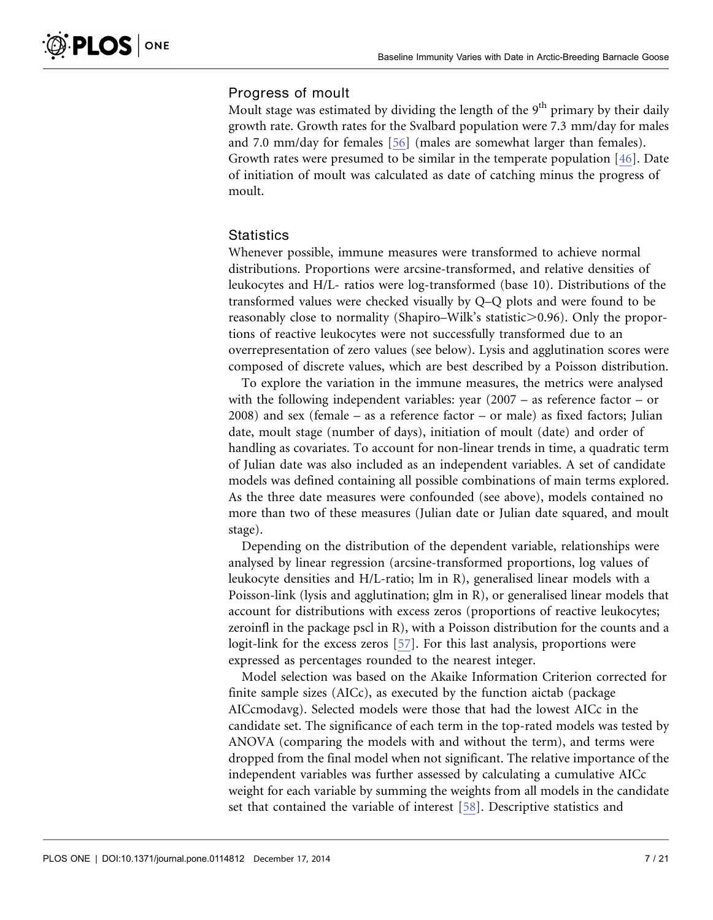### Progress of moult

Moult stage was estimated by dividing the length of the  $9<sup>th</sup>$  primary by their daily growth rate. Growth rates for the Svalbard population were 7.3 mm/day for males and 7.0 mm/day for females [\[56\]](#page-19-0) (males are somewhat larger than females). Growth rates were presumed to be similar in the temperate population [\[46\]](#page-18-0). Date of initiation of moult was calculated as date of catching minus the progress of moult.

### **Statistics**

Whenever possible, immune measures were transformed to achieve normal distributions. Proportions were arcsine-transformed, and relative densities of leukocytes and H/L- ratios were log-transformed (base 10). Distributions of the transformed values were checked visually by Q–Q plots and were found to be reasonably close to normality (Shapiro–Wilk's statistic $> 0.96$ ). Only the proportions of reactive leukocytes were not successfully transformed due to an overrepresentation of zero values (see below). Lysis and agglutination scores were composed of discrete values, which are best described by a Poisson distribution.

To explore the variation in the immune measures, the metrics were analysed with the following independent variables: year (2007 – as reference factor – or 2008) and sex (female – as a reference factor – or male) as fixed factors; Julian date, moult stage (number of days), initiation of moult (date) and order of handling as covariates. To account for non-linear trends in time, a quadratic term of Julian date was also included as an independent variables. A set of candidate models was defined containing all possible combinations of main terms explored. As the three date measures were confounded (see above), models contained no more than two of these measures (Julian date or Julian date squared, and moult stage).

Depending on the distribution of the dependent variable, relationships were analysed by linear regression (arcsine-transformed proportions, log values of leukocyte densities and H/L-ratio; lm in R), generalised linear models with a Poisson-link (lysis and agglutination; glm in R), or generalised linear models that account for distributions with excess zeros (proportions of reactive leukocytes; zeroinfl in the package pscl in R), with a Poisson distribution for the counts and a logit-link for the excess zeros [\[57\]](#page-19-0). For this last analysis, proportions were expressed as percentages rounded to the nearest integer.

Model selection was based on the Akaike Information Criterion corrected for finite sample sizes (AICc), as executed by the function aictab (package AICcmodavg). Selected models were those that had the lowest AICc in the candidate set. The significance of each term in the top-rated models was tested by ANOVA (comparing the models with and without the term), and terms were dropped from the final model when not significant. The relative importance of the independent variables was further assessed by calculating a cumulative AICc weight for each variable by summing the weights from all models in the candidate set that contained the variable of interest [\[58\]](#page-19-0). Descriptive statistics and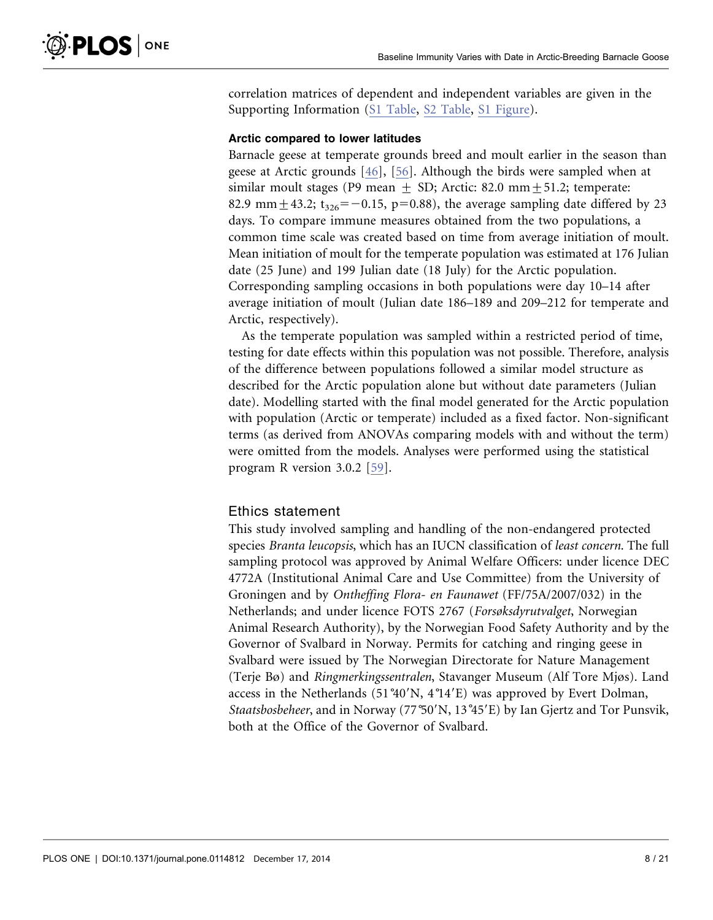correlation matrices of dependent and independent variables are given in the Supporting Information [\(S1 Table,](#page-15-0) [S2 Table](#page-15-0), [S1 Figure](#page-15-0)).

### Arctic compared to lower latitudes

Barnacle geese at temperate grounds breed and moult earlier in the season than geese at Arctic grounds [\[46\]](#page-18-0), [\[56\]](#page-19-0). Although the birds were sampled when at similar moult stages (P9 mean  $\pm$  SD; Arctic: 82.0 mm $\pm$ 51.2; temperate: 82.9 mm  $+43.2$ ; t<sub>326</sub> $=-0.15$ , p=0.88), the average sampling date differed by 23 days. To compare immune measures obtained from the two populations, a common time scale was created based on time from average initiation of moult. Mean initiation of moult for the temperate population was estimated at 176 Julian date (25 June) and 199 Julian date (18 July) for the Arctic population. Corresponding sampling occasions in both populations were day 10–14 after average initiation of moult (Julian date 186–189 and 209–212 for temperate and Arctic, respectively).

As the temperate population was sampled within a restricted period of time, testing for date effects within this population was not possible. Therefore, analysis of the difference between populations followed a similar model structure as described for the Arctic population alone but without date parameters (Julian date). Modelling started with the final model generated for the Arctic population with population (Arctic or temperate) included as a fixed factor. Non-significant terms (as derived from ANOVAs comparing models with and without the term) were omitted from the models. Analyses were performed using the statistical program R version 3.0.2 [\[59\].](#page-19-0)

### Ethics statement

This study involved sampling and handling of the non-endangered protected species Branta leucopsis, which has an IUCN classification of least concern. The full sampling protocol was approved by Animal Welfare Officers: under licence DEC 4772A (Institutional Animal Care and Use Committee) from the University of Groningen and by Ontheffing Flora- en Faunawet (FF/75A/2007/032) in the Netherlands; and under licence FOTS 2767 (Forsøksdyrutvalget, Norwegian Animal Research Authority), by the Norwegian Food Safety Authority and by the Governor of Svalbard in Norway. Permits for catching and ringing geese in Svalbard were issued by The Norwegian Directorate for Nature Management (Terje Bø) and Ringmerkingssentralen, Stavanger Museum (Alf Tore Mjøs). Land access in the Netherlands  $(51°40'N, 4°14'E)$  was approved by Evert Dolman, Staatsbosbeheer, and in Norway (77°50'N, 13°45'E) by Ian Gjertz and Tor Punsvik, both at the Office of the Governor of Svalbard.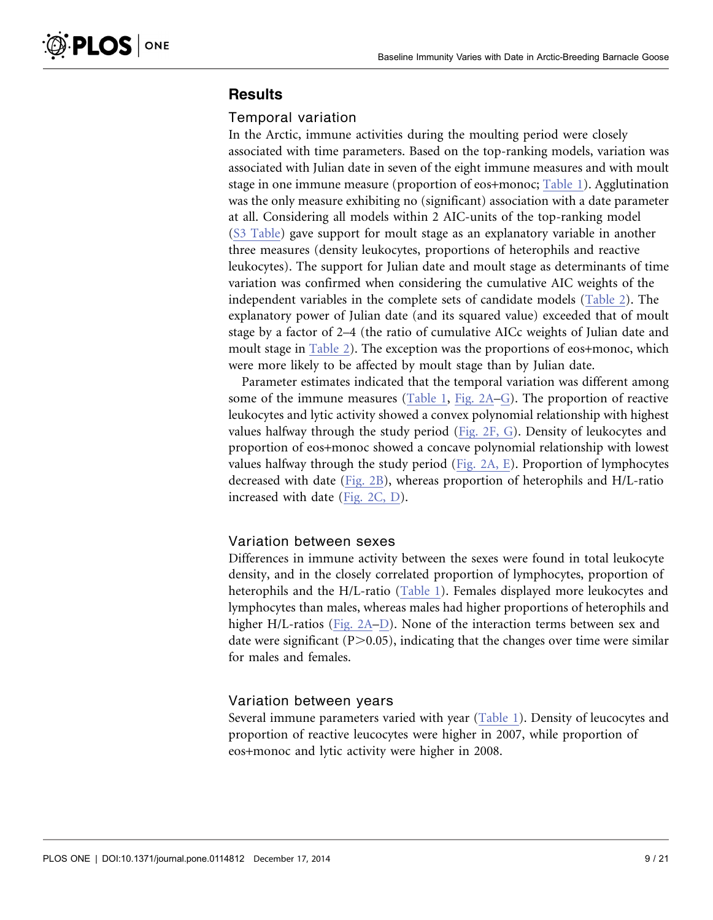### **Results**

### Temporal variation

In the Arctic, immune activities during the moulting period were closely associated with time parameters. Based on the top-ranking models, variation was associated with Julian date in seven of the eight immune measures and with moult stage in one immune measure (proportion of eos+monoc; [Table 1](#page-9-0)). Agglutination was the only measure exhibiting no (significant) association with a date parameter at all. Considering all models within 2 AIC-units of the top-ranking model ([S3 Table\)](#page-15-0) gave support for moult stage as an explanatory variable in another three measures (density leukocytes, proportions of heterophils and reactive leukocytes). The support for Julian date and moult stage as determinants of time variation was confirmed when considering the cumulative AIC weights of the independent variables in the complete sets of candidate models ([Table 2\)](#page-10-0). The explanatory power of Julian date (and its squared value) exceeded that of moult stage by a factor of 2–4 (the ratio of cumulative AICc weights of Julian date and moult stage in [Table 2](#page-10-0)). The exception was the proportions of eos+monoc, which were more likely to be affected by moult stage than by Julian date.

Parameter estimates indicated that the temporal variation was different among some of the immune measures [\(Table 1](#page-9-0), [Fig. 2A–G](#page-11-0)). The proportion of reactive leukocytes and lytic activity showed a convex polynomial relationship with highest values halfway through the study period [\(Fig. 2F, G\)](#page-11-0). Density of leukocytes and proportion of eos+monoc showed a concave polynomial relationship with lowest values halfway through the study period [\(Fig. 2A, E](#page-11-0)). Proportion of lymphocytes decreased with date ([Fig. 2B\)](#page-11-0), whereas proportion of heterophils and H/L-ratio increased with date [\(Fig. 2C, D\)](#page-11-0).

### Variation between sexes

Differences in immune activity between the sexes were found in total leukocyte density, and in the closely correlated proportion of lymphocytes, proportion of heterophils and the H/L-ratio ([Table 1\)](#page-9-0). Females displayed more leukocytes and lymphocytes than males, whereas males had higher proportions of heterophils and higher H/L-ratios [\(Fig. 2A–D](#page-11-0)). None of the interaction terms between sex and date were significant  $(P>0.05)$ , indicating that the changes over time were similar for males and females.

### Variation between years

Several immune parameters varied with year [\(Table 1\)](#page-9-0). Density of leucocytes and proportion of reactive leucocytes were higher in 2007, while proportion of eos+monoc and lytic activity were higher in 2008.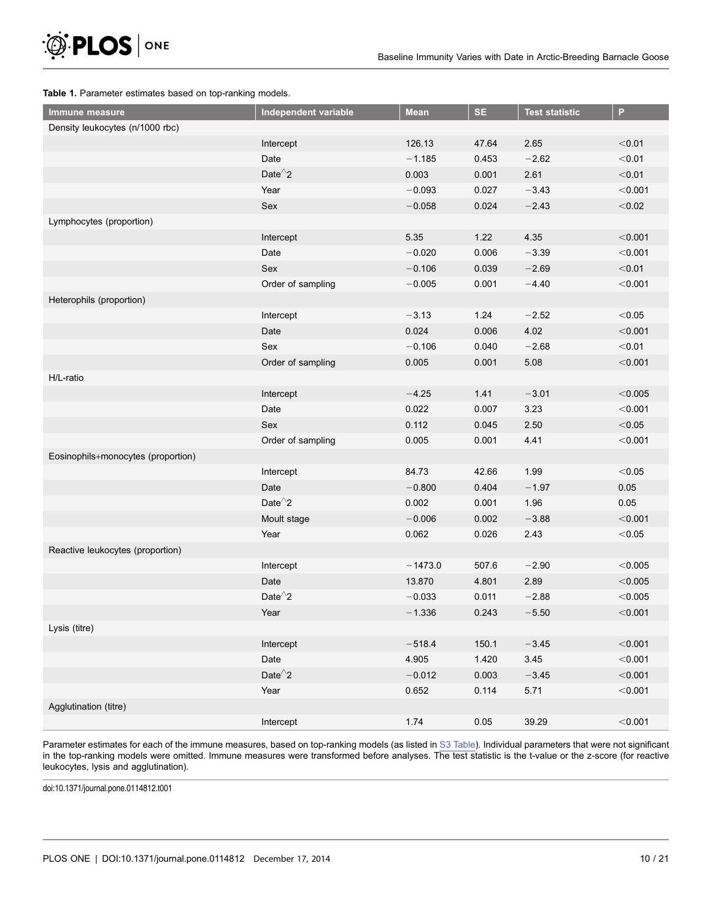<span id="page-9-0"></span>

#### Table 1. Parameter estimates based on top-ranking models.

| Immune measure                     | Independent variable | <b>Mean</b>       | <b>SE</b> | <b>Test statistic</b> | P       |
|------------------------------------|----------------------|-------------------|-----------|-----------------------|---------|
| Density leukocytes (n/1000 rbc)    |                      |                   |           |                       |         |
|                                    | Intercept            | 126.13            | 47.64     | 2.65                  | < 0.01  |
|                                    | Date                 | $-1.185$          | 0.453     | $-2.62$               | < 0.01  |
|                                    | Date $^2$ 2          | 0.003             | 0.001     | 2.61                  | < 0.01  |
|                                    | Year                 | $-0.093$          | 0.027     | $-3.43$               | < 0.001 |
|                                    | Sex                  | 0.024<br>$-0.058$ |           | $-2.43$               | $<0.02$ |
| Lymphocytes (proportion)           |                      |                   |           |                       |         |
|                                    | Intercept            | 5.35              | 1.22      | 4.35                  | < 0.001 |
|                                    | Date                 | $-0.020$          | 0.006     | $-3.39$               | < 0.001 |
|                                    | Sex                  | $-0.106$          | 0.039     | $-2.69$               | < 0.01  |
|                                    | Order of sampling    | $-0.005$          | 0.001     | $-4.40$               | < 0.001 |
| Heterophils (proportion)           |                      |                   |           |                       |         |
|                                    | Intercept            | $-3.13$           | 1.24      | $-2.52$               | < 0.05  |
|                                    | Date                 | 0.024             | 0.006     | 4.02                  | < 0.001 |
|                                    | Sex                  | $-0.106$          | 0.040     | $-2.68$               | < 0.01  |
|                                    | Order of sampling    | 0.005             | 0.001     | 5.08                  | < 0.001 |
| H/L-ratio                          |                      |                   |           |                       |         |
|                                    | Intercept            | $-4.25$           | 1.41      | $-3.01$               | < 0.005 |
|                                    | Date                 | 0.022             | 0.007     | 3.23                  | < 0.001 |
|                                    | Sex                  | 0.112             | 0.045     | 2.50                  | < 0.05  |
|                                    | Order of sampling    | 0.005             | 0.001     | 4.41                  | < 0.001 |
| Eosinophils+monocytes (proportion) |                      |                   |           |                       |         |
|                                    | Intercept            | 84.73<br>42.66    |           | 1.99                  | < 0.05  |
|                                    | Date                 | $-0.800$          | 0.404     | $-1.97$               | 0.05    |
|                                    | Date $^{\wedge}2$    | 0.002             | 0.001     | 1.96                  | 0.05    |
|                                    | Moult stage          | $-0.006$          | 0.002     | $-3.88$               | < 0.001 |
|                                    | Year                 | 0.062             | 0.026     | 2.43                  | < 0.05  |
| Reactive leukocytes (proportion)   |                      |                   |           |                       |         |
|                                    | Intercept            | $-1473.0$         | 507.6     | $-2.90$               | < 0.005 |
|                                    | Date                 | 13.870            | 4.801     | 2.89                  | < 0.005 |
|                                    | Date $^{\wedge}2$    | $-0.033$          | 0.011     | $-2.88$               | < 0.005 |
|                                    | Year                 | $-1.336$          | 0.243     | $-5.50$               | < 0.001 |
| Lysis (titre)                      |                      |                   |           |                       |         |
|                                    | Intercept            | $-518.4$          | 150.1     | $-3.45$               | < 0.001 |
|                                    | Date                 | 4.905             | 1.420     | 3.45                  | < 0.001 |
|                                    | Date $^2$ 2          | $-0.012$          | 0.003     | $-3.45$               | < 0.001 |
|                                    | Year                 | 0.652             | 0.114     | 5.71                  | < 0.001 |
| Agglutination (titre)              |                      |                   |           |                       |         |
|                                    | Intercept            | 1.74              | 0.05      | 39.29                 | < 0.001 |

Parameter estimates for each of the immune measures, based on top-ranking models (as listed in [S3 Table](#page-15-0)). Individual parameters that were not significant in the top-ranking models were omitted. Immune measures were transformed before analyses. The test statistic is the t-value or the z-score (for reactive leukocytes, lysis and agglutination).

doi:10.1371/journal.pone.0114812.t001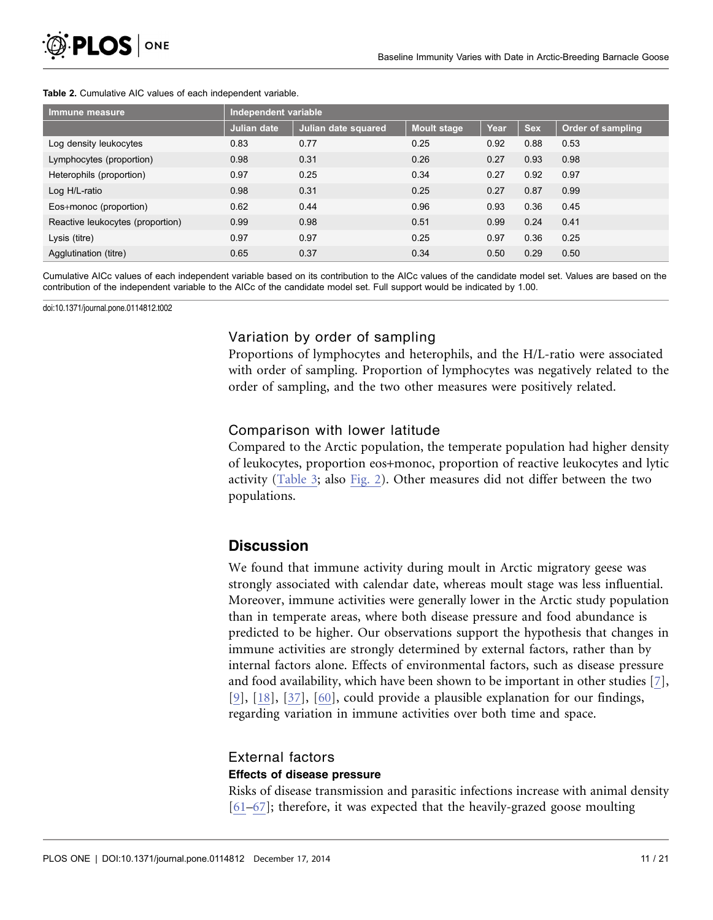| Immune measure                   | Independent variable |                     |                    |      |            |                          |  |
|----------------------------------|----------------------|---------------------|--------------------|------|------------|--------------------------|--|
|                                  | <b>Julian date</b>   | Julian date squared | <b>Moult stage</b> | Year | <b>Sex</b> | <b>Order of sampling</b> |  |
| Log density leukocytes           | 0.83                 | 0.77                | 0.25               | 0.92 | 0.88       | 0.53                     |  |
| Lymphocytes (proportion)         | 0.98                 | 0.31                | 0.26               | 0.27 | 0.93       | 0.98                     |  |
| Heterophils (proportion)         | 0.97                 | 0.25                | 0.34               | 0.27 | 0.92       | 0.97                     |  |
| Log H/L-ratio                    | 0.98                 | 0.31                | 0.25               | 0.27 | 0.87       | 0.99                     |  |
| Eos+monoc (proportion)           | 0.62                 | 0.44                | 0.96               | 0.93 | 0.36       | 0.45                     |  |
| Reactive leukocytes (proportion) | 0.99                 | 0.98                | 0.51               | 0.99 | 0.24       | 0.41                     |  |
| Lysis (titre)                    | 0.97                 | 0.97                | 0.25               | 0.97 | 0.36       | 0.25                     |  |
| Agglutination (titre)            | 0.65                 | 0.37                | 0.34               | 0.50 | 0.29       | 0.50                     |  |

#### <span id="page-10-0"></span>Table 2. Cumulative AIC values of each independent variable.

Cumulative AICc values of each independent variable based on its contribution to the AICc values of the candidate model set. Values are based on the contribution of the independent variable to the AICc of the candidate model set. Full support would be indicated by 1.00.

doi:10.1371/journal.pone.0114812.t002

### Variation by order of sampling

Proportions of lymphocytes and heterophils, and the H/L-ratio were associated with order of sampling. Proportion of lymphocytes was negatively related to the order of sampling, and the two other measures were positively related.

### Comparison with lower latitude

Compared to the Arctic population, the temperate population had higher density of leukocytes, proportion eos+monoc, proportion of reactive leukocytes and lytic activity ([Table 3;](#page-12-0) also [Fig. 2](#page-11-0)). Other measures did not differ between the two populations.

### **Discussion**

We found that immune activity during moult in Arctic migratory geese was strongly associated with calendar date, whereas moult stage was less influential. Moreover, immune activities were generally lower in the Arctic study population than in temperate areas, where both disease pressure and food abundance is predicted to be higher. Our observations support the hypothesis that changes in immune activities are strongly determined by external factors, rather than by internal factors alone. Effects of environmental factors, such as disease pressure and food availability, which have been shown to be important in other studies [\[7\]](#page-17-0), [\[9\]](#page-17-0), [\[18\],](#page-17-0) [\[37\],](#page-18-0) [\[60\],](#page-19-0) could provide a plausible explanation for our findings, regarding variation in immune activities over both time and space.

### External factors

### Effects of disease pressure

Risks of disease transmission and parasitic infections increase with animal density [\[61–67\];](#page-19-0) therefore, it was expected that the heavily-grazed goose moulting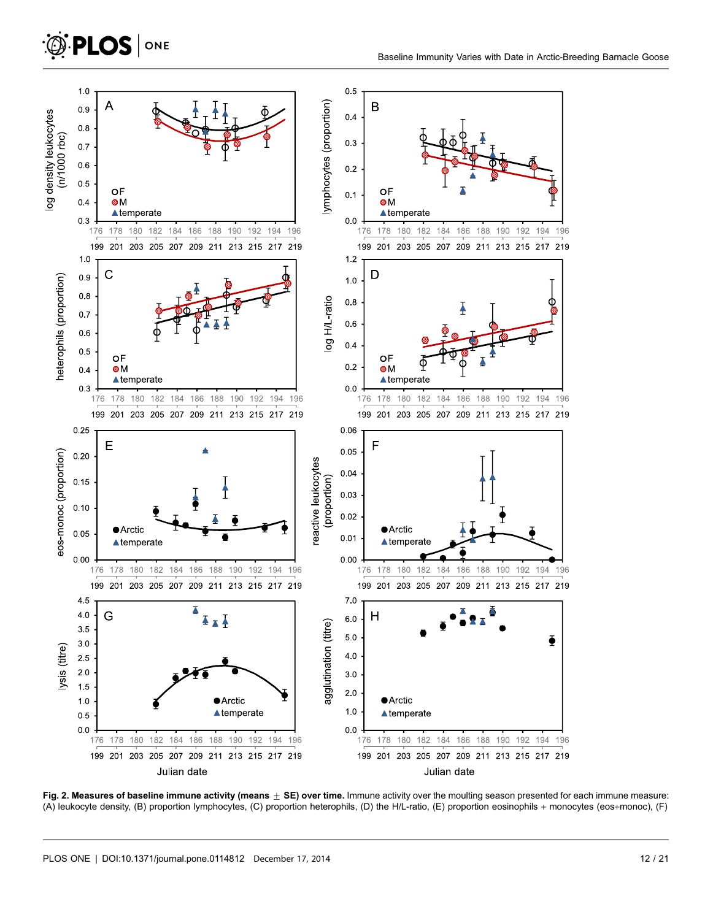<span id="page-11-0"></span>

Fig. 2. Measures of baseline immune activity (means  $\pm$  SE) over time. Immune activity over the moulting season presented for each immune measure: (A) leukocyte density, (B) proportion lymphocytes, (C) proportion heterophils, (D) the H/L-ratio, (E) proportion eosinophils + monocytes (eos+monoc), (F)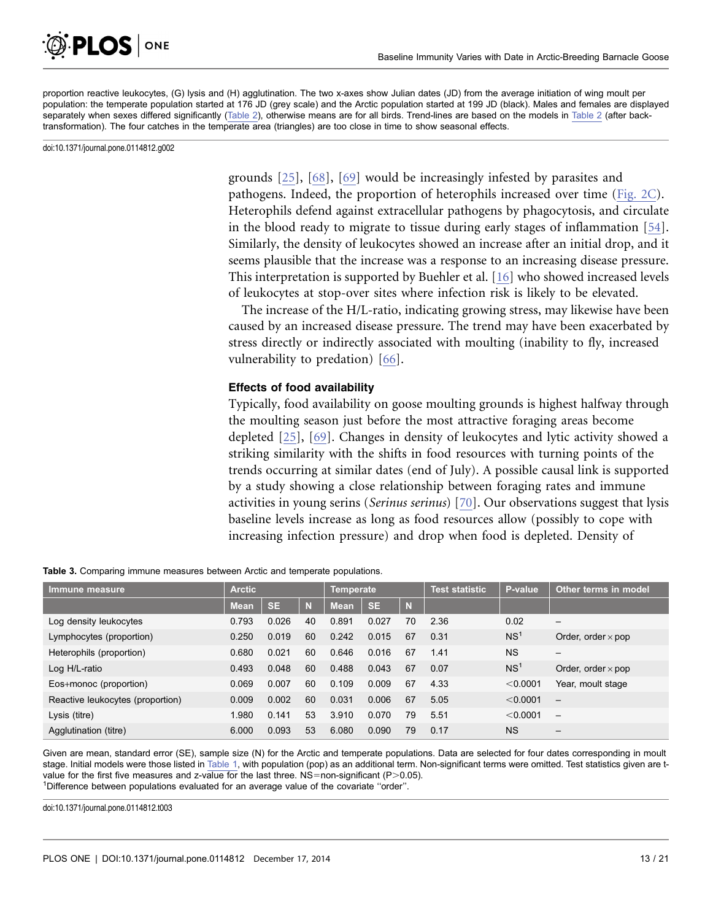<span id="page-12-0"></span>

proportion reactive leukocytes, (G) lysis and (H) agglutination. The two x-axes show Julian dates (JD) from the average initiation of wing moult per population: the temperate population started at 176 JD (grey scale) and the Arctic population started at 199 JD (black). Males and females are displayed separately when sexes differed significantly [\(Table 2](#page-10-0)), otherwise means are for all birds. Trend-lines are based on the models in [Table 2](#page-10-0) (after backtransformation). The four catches in the temperate area (triangles) are too close in time to show seasonal effects.

doi:10.1371/journal.pone.0114812.g002

grounds [\[25\],](#page-17-0) [\[68\], \[69\]](#page-19-0) would be increasingly infested by parasites and pathogens. Indeed, the proportion of heterophils increased over time [\(Fig. 2C\)](#page-11-0). Heterophils defend against extracellular pathogens by phagocytosis, and circulate in the blood ready to migrate to tissue during early stages of inflammation [\[54\]](#page-19-0). Similarly, the density of leukocytes showed an increase after an initial drop, and it seems plausible that the increase was a response to an increasing disease pressure. This interpretation is supported by Buehler et al. [\[16\]](#page-17-0) who showed increased levels of leukocytes at stop-over sites where infection risk is likely to be elevated.

The increase of the H/L-ratio, indicating growing stress, may likewise have been caused by an increased disease pressure. The trend may have been exacerbated by stress directly or indirectly associated with moulting (inability to fly, increased vulnerability to predation) [\[66\]](#page-19-0).

### Effects of food availability

Typically, food availability on goose moulting grounds is highest halfway through the moulting season just before the most attractive foraging areas become depleted [\[25\],](#page-17-0) [\[69\].](#page-19-0) Changes in density of leukocytes and lytic activity showed a striking similarity with the shifts in food resources with turning points of the trends occurring at similar dates (end of July). A possible causal link is supported by a study showing a close relationship between foraging rates and immune activities in young serins (Serinus serinus) [\[70\]](#page-19-0). Our observations suggest that lysis baseline levels increase as long as food resources allow (possibly to cope with increasing infection pressure) and drop when food is depleted. Density of

| Immune measure                   | <b>Arctic</b> |           |    | Temperate   |           | Test statistic | P-value | Other terms in model |                           |
|----------------------------------|---------------|-----------|----|-------------|-----------|----------------|---------|----------------------|---------------------------|
|                                  | <b>Mean</b>   | <b>SE</b> | N  | <b>Mean</b> | <b>SE</b> | N              |         |                      |                           |
| Log density leukocytes           | 0.793         | 0.026     | 40 | 0.891       | 0.027     | 70             | 2.36    | 0.02                 | $\overline{\phantom{0}}$  |
| Lymphocytes (proportion)         | 0.250         | 0.019     | 60 | 0.242       | 0.015     | 67             | 0.31    | NS <sup>1</sup>      | Order, order $\times$ pop |
| Heterophils (proportion)         | 0.680         | 0.021     | 60 | 0.646       | 0.016     | 67             | 1.41    | <b>NS</b>            | —                         |
| Log H/L-ratio                    | 0.493         | 0.048     | 60 | 0.488       | 0.043     | 67             | 0.07    | NS <sup>1</sup>      | Order, order $\times$ pop |
| Eos+monoc (proportion)           | 0.069         | 0.007     | 60 | 0.109       | 0.009     | 67             | 4.33    | < 0.0001             | Year, moult stage         |
| Reactive leukocytes (proportion) | 0.009         | 0.002     | 60 | 0.031       | 0.006     | 67             | 5.05    | < 0.0001             | $\qquad \qquad -$         |
| Lysis (titre)                    | 1.980         | 0.141     | 53 | 3.910       | 0.070     | 79             | 5.51    | < 0.0001             |                           |
| Agglutination (titre)            | 6.000         | 0.093     | 53 | 6.080       | 0.090     | 79             | 0.17    | <b>NS</b>            | $\overline{\phantom{m}}$  |

Table 3. Comparing immune measures between Arctic and temperate populations.

Given are mean, standard error (SE), sample size (N) for the Arctic and temperate populations. Data are selected for four dates corresponding in moult stage. Initial models were those listed in [Table 1](#page-9-0), with population (pop) as an additional term. Non-significant terms were omitted. Test statistics given are tvalue for the first five measures and z-value for the last three.  $NS=$  non-significant (P $>$ 0.05). <sup>1</sup>Difference between populations evaluated for an average value of the covariate "order".

doi:10.1371/journal.pone.0114812.t003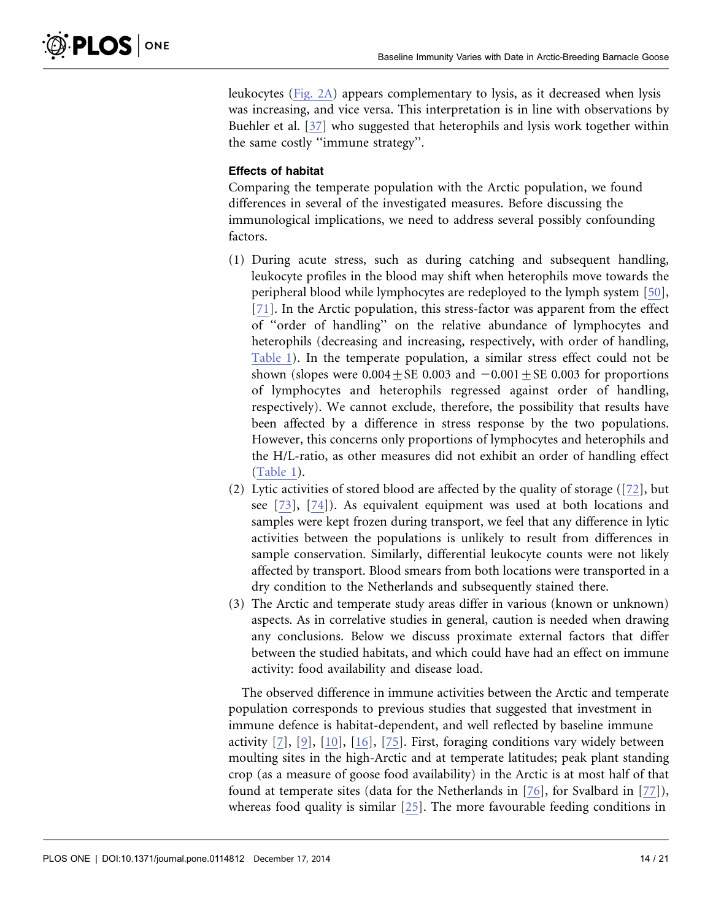leukocytes [\(Fig. 2A\)](#page-11-0) appears complementary to lysis, as it decreased when lysis was increasing, and vice versa. This interpretation is in line with observations by Buehler et al. [\[37\]](#page-18-0) who suggested that heterophils and lysis work together within the same costly ''immune strategy''.

### Effects of habitat

Comparing the temperate population with the Arctic population, we found differences in several of the investigated measures. Before discussing the immunological implications, we need to address several possibly confounding factors.

- (1) During acute stress, such as during catching and subsequent handling, leukocyte profiles in the blood may shift when heterophils move towards the peripheral blood while lymphocytes are redeployed to the lymph system [\[50\]](#page-18-0), [\[71\].](#page-19-0) In the Arctic population, this stress-factor was apparent from the effect of ''order of handling'' on the relative abundance of lymphocytes and heterophils (decreasing and increasing, respectively, with order of handling, [Table 1\)](#page-9-0). In the temperate population, a similar stress effect could not be shown (slopes were  $0.004 \pm SE$  0.003 and  $-0.001 \pm SE$  0.003 for proportions of lymphocytes and heterophils regressed against order of handling, respectively). We cannot exclude, therefore, the possibility that results have been affected by a difference in stress response by the two populations. However, this concerns only proportions of lymphocytes and heterophils and the H/L-ratio, as other measures did not exhibit an order of handling effect [\(Table 1](#page-9-0)).
- (2) Lytic activities of stored blood are affected by the quality of storage ([\[72\]](#page-19-0), but see [\[73\],](#page-19-0) [\[74\]\)](#page-20-0). As equivalent equipment was used at both locations and samples were kept frozen during transport, we feel that any difference in lytic activities between the populations is unlikely to result from differences in sample conservation. Similarly, differential leukocyte counts were not likely affected by transport. Blood smears from both locations were transported in a dry condition to the Netherlands and subsequently stained there.
- (3) The Arctic and temperate study areas differ in various (known or unknown) aspects. As in correlative studies in general, caution is needed when drawing any conclusions. Below we discuss proximate external factors that differ between the studied habitats, and which could have had an effect on immune activity: food availability and disease load.

The observed difference in immune activities between the Arctic and temperate population corresponds to previous studies that suggested that investment in immune defence is habitat-dependent, and well reflected by baseline immune activity [\[7\], \[9\]](#page-17-0), [\[10\], \[16\],](#page-17-0) [\[75\].](#page-20-0) First, foraging conditions vary widely between moulting sites in the high-Arctic and at temperate latitudes; peak plant standing crop (as a measure of goose food availability) in the Arctic is at most half of that found at temperate sites (data for the Netherlands in [\[76\]](#page-20-0), for Svalbard in [\[77\]\)](#page-20-0), whereas food quality is similar [\[25\].](#page-17-0) The more favourable feeding conditions in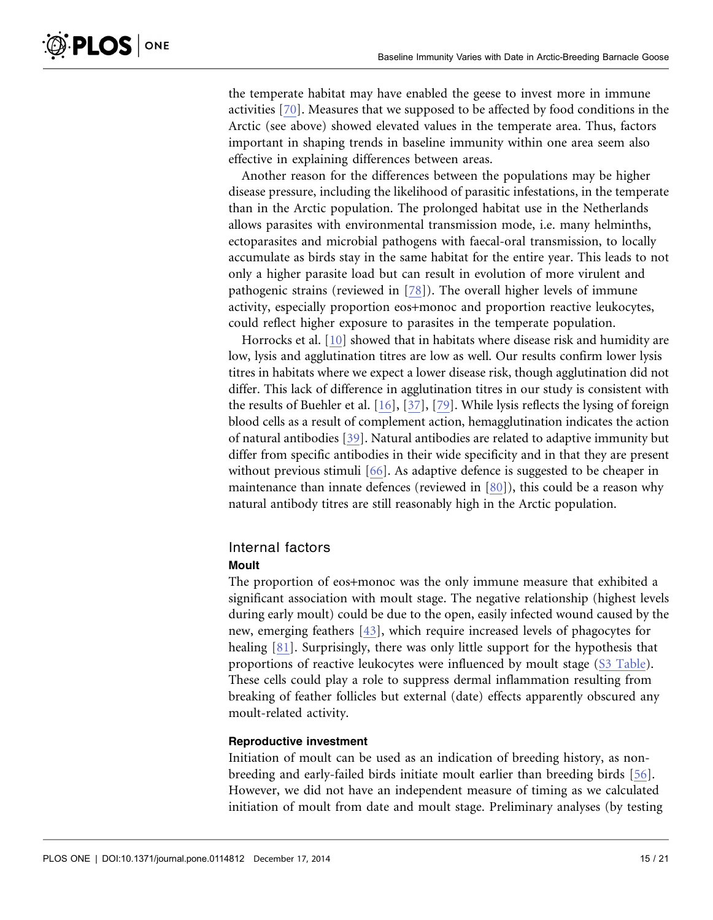the temperate habitat may have enabled the geese to invest more in immune activities [\[70\]](#page-19-0). Measures that we supposed to be affected by food conditions in the Arctic (see above) showed elevated values in the temperate area. Thus, factors important in shaping trends in baseline immunity within one area seem also

effective in explaining differences between areas.

Another reason for the differences between the populations may be higher disease pressure, including the likelihood of parasitic infestations, in the temperate than in the Arctic population. The prolonged habitat use in the Netherlands allows parasites with environmental transmission mode, i.e. many helminths, ectoparasites and microbial pathogens with faecal-oral transmission, to locally accumulate as birds stay in the same habitat for the entire year. This leads to not only a higher parasite load but can result in evolution of more virulent and pathogenic strains (reviewed in [\[78\]\)](#page-20-0). The overall higher levels of immune activity, especially proportion eos+monoc and proportion reactive leukocytes, could reflect higher exposure to parasites in the temperate population.

Horrocks et al. [\[10\]](#page-17-0) showed that in habitats where disease risk and humidity are low, lysis and agglutination titres are low as well. Our results confirm lower lysis titres in habitats where we expect a lower disease risk, though agglutination did not differ. This lack of difference in agglutination titres in our study is consistent with the results of Buehler et al. [\[16\]](#page-17-0), [\[37\]](#page-18-0), [\[79\].](#page-20-0) While lysis reflects the lysing of foreign blood cells as a result of complement action, hemagglutination indicates the action of natural antibodies [\[39\]](#page-18-0). Natural antibodies are related to adaptive immunity but differ from specific antibodies in their wide specificity and in that they are present without previous stimuli [\[66\]](#page-19-0). As adaptive defence is suggested to be cheaper in maintenance than innate defences (reviewed in [\[80\]](#page-20-0)), this could be a reason why natural antibody titres are still reasonably high in the Arctic population.

## Internal factors

### Moult

The proportion of eos+monoc was the only immune measure that exhibited a significant association with moult stage. The negative relationship (highest levels during early moult) could be due to the open, easily infected wound caused by the new, emerging feathers [\[43\],](#page-18-0) which require increased levels of phagocytes for healing [\[81\]](#page-20-0). Surprisingly, there was only little support for the hypothesis that proportions of reactive leukocytes were influenced by moult stage ([S3 Table\)](#page-15-0). These cells could play a role to suppress dermal inflammation resulting from breaking of feather follicles but external (date) effects apparently obscured any moult-related activity.

### Reproductive investment

Initiation of moult can be used as an indication of breeding history, as nonbreeding and early-failed birds initiate moult earlier than breeding birds [\[56\]](#page-19-0). However, we did not have an independent measure of timing as we calculated initiation of moult from date and moult stage. Preliminary analyses (by testing

**PLOS** ONE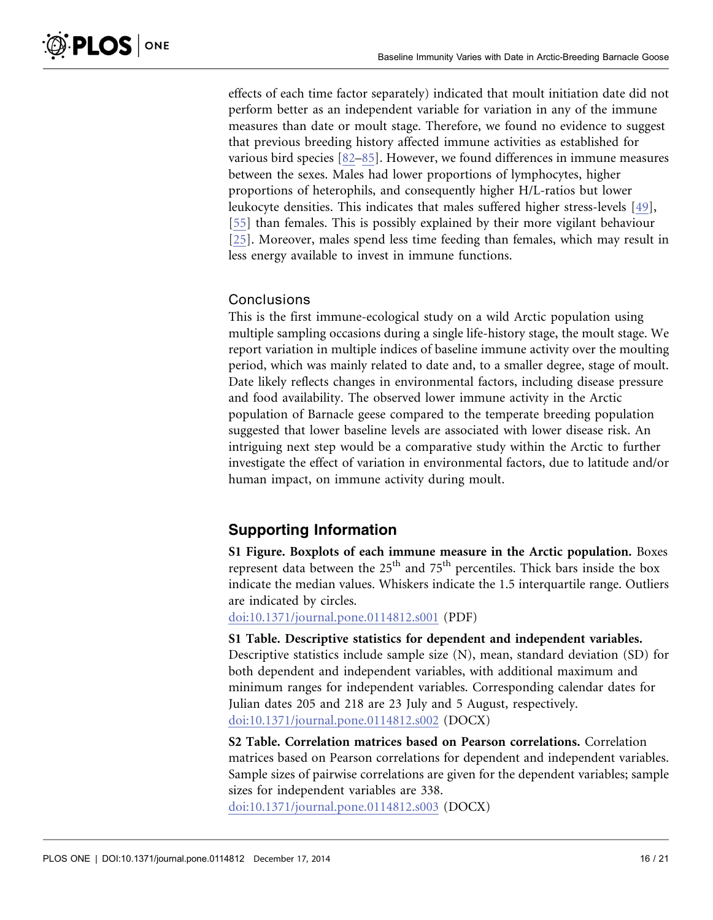<span id="page-15-0"></span>effects of each time factor separately) indicated that moult initiation date did not perform better as an independent variable for variation in any of the immune measures than date or moult stage. Therefore, we found no evidence to suggest that previous breeding history affected immune activities as established for various bird species [\[82–85\]](#page-20-0). However, we found differences in immune measures between the sexes. Males had lower proportions of lymphocytes, higher proportions of heterophils, and consequently higher H/L-ratios but lower leukocyte densities. This indicates that males suffered higher stress-levels [\[49\],](#page-18-0) [\[55\]](#page-19-0) than females. This is possibly explained by their more vigilant behaviour [\[25\].](#page-17-0) Moreover, males spend less time feeding than females, which may result in less energy available to invest in immune functions.

### **Conclusions**

This is the first immune-ecological study on a wild Arctic population using multiple sampling occasions during a single life-history stage, the moult stage. We report variation in multiple indices of baseline immune activity over the moulting period, which was mainly related to date and, to a smaller degree, stage of moult. Date likely reflects changes in environmental factors, including disease pressure and food availability. The observed lower immune activity in the Arctic population of Barnacle geese compared to the temperate breeding population suggested that lower baseline levels are associated with lower disease risk. An intriguing next step would be a comparative study within the Arctic to further investigate the effect of variation in environmental factors, due to latitude and/or human impact, on immune activity during moult.

### Supporting Information

S1 Figure. Boxplots of each immune measure in the Arctic population. Boxes represent data between the  $25<sup>th</sup>$  and  $75<sup>th</sup>$  percentiles. Thick bars inside the box indicate the median values. Whiskers indicate the 1.5 interquartile range. Outliers are indicated by circles.

[doi:10.1371/journal.pone.0114812.s001](http://www.plosone.org/article/fetchSingleRepresentation.action?uri=info:doi/10.1371/journal.pone.0114812.s001) (PDF)

S1 Table. Descriptive statistics for dependent and independent variables. Descriptive statistics include sample size (N), mean, standard deviation (SD) for both dependent and independent variables, with additional maximum and minimum ranges for independent variables. Corresponding calendar dates for Julian dates 205 and 218 are 23 July and 5 August, respectively. [doi:10.1371/journal.pone.0114812.s002](http://www.plosone.org/article/fetchSingleRepresentation.action?uri=info:doi/10.1371/journal.pone.0114812.s002) (DOCX)

S2 Table. Correlation matrices based on Pearson correlations. Correlation matrices based on Pearson correlations for dependent and independent variables. Sample sizes of pairwise correlations are given for the dependent variables; sample sizes for independent variables are 338.

[doi:10.1371/journal.pone.0114812.s003](http://www.plosone.org/article/fetchSingleRepresentation.action?uri=info:doi/10.1371/journal.pone.0114812.s003) (DOCX)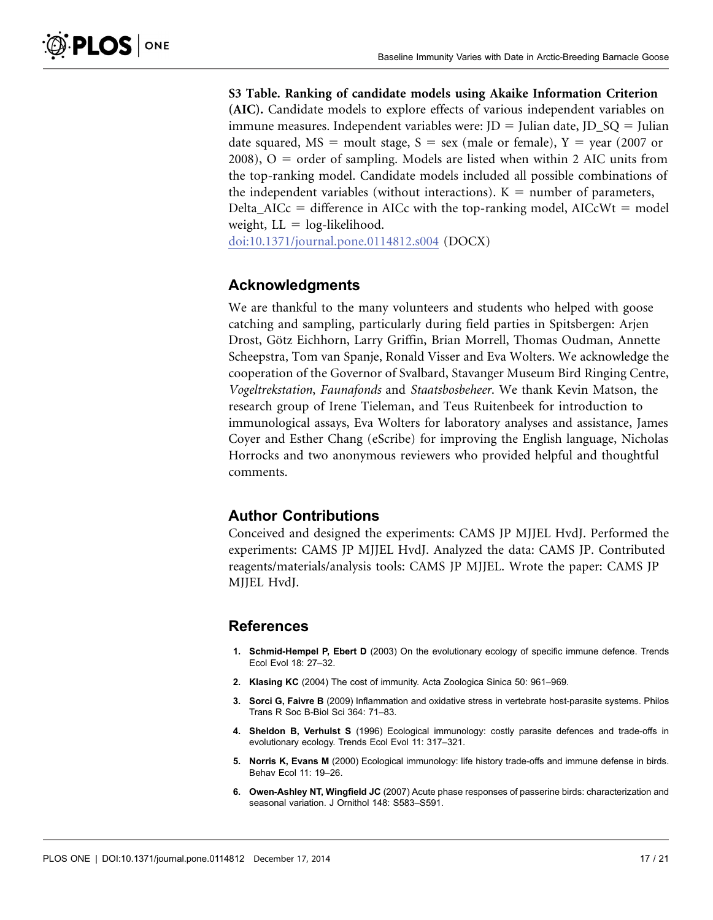<span id="page-16-0"></span>S3 Table. Ranking of candidate models using Akaike Information Criterion (AIC). Candidate models to explore effects of various independent variables on immune measures. Independent variables were:  $JD =$  Julian date,  $JD\_SQ =$  Julian date squared,  $MS =$  moult stage,  $S =$  sex (male or female),  $Y =$  year (2007 or  $2008$ ), O = order of sampling. Models are listed when within 2 AIC units from the top-ranking model. Candidate models included all possible combinations of the independent variables (without interactions).  $K =$  number of parameters, Delta\_AICc = difference in AICc with the top-ranking model,  $AICcWt$  = model weight,  $LL = log-likelihood$ .

[doi:10.1371/journal.pone.0114812.s004](http://www.plosone.org/article/fetchSingleRepresentation.action?uri=info:doi/10.1371/journal.pone.0114812.s004) (DOCX)

### Acknowledgments

We are thankful to the many volunteers and students who helped with goose catching and sampling, particularly during field parties in Spitsbergen: Arjen Drost, Götz Eichhorn, Larry Griffin, Brian Morrell, Thomas Oudman, Annette Scheepstra, Tom van Spanje, Ronald Visser and Eva Wolters. We acknowledge the cooperation of the Governor of Svalbard, Stavanger Museum Bird Ringing Centre, Vogeltrekstation, Faunafonds and Staatsbosbeheer. We thank Kevin Matson, the research group of Irene Tieleman, and Teus Ruitenbeek for introduction to immunological assays, Eva Wolters for laboratory analyses and assistance, James Coyer and Esther Chang (eScribe) for improving the English language, Nicholas Horrocks and two anonymous reviewers who provided helpful and thoughtful comments.

### Author Contributions

Conceived and designed the experiments: CAMS JP MJJEL HvdJ. Performed the experiments: CAMS JP MJJEL HvdJ. Analyzed the data: CAMS JP. Contributed reagents/materials/analysis tools: CAMS JP MJJEL. Wrote the paper: CAMS JP MJJEL HvdJ.

### References

- 1. Schmid-Hempel P, Ebert D (2003) On the evolutionary ecology of specific immune defence. Trends Ecol Evol 18: 27–32.
- 2. Klasing KC (2004) The cost of immunity. Acta Zoologica Sinica 50: 961–969.
- 3. Sorci G, Faivre B (2009) Inflammation and oxidative stress in vertebrate host-parasite systems. Philos Trans R Soc B-Biol Sci 364: 71–83.
- 4. Sheldon B, Verhulst S (1996) Ecological immunology: costly parasite defences and trade-offs in evolutionary ecology. Trends Ecol Evol 11: 317–321.
- 5. Norris K, Evans M (2000) Ecological immunology: life history trade-offs and immune defense in birds. Behav Ecol 11: 19–26.
- 6. Owen-Ashley NT, Wingfield JC (2007) Acute phase responses of passerine birds: characterization and seasonal variation. J Ornithol 148: S583–S591.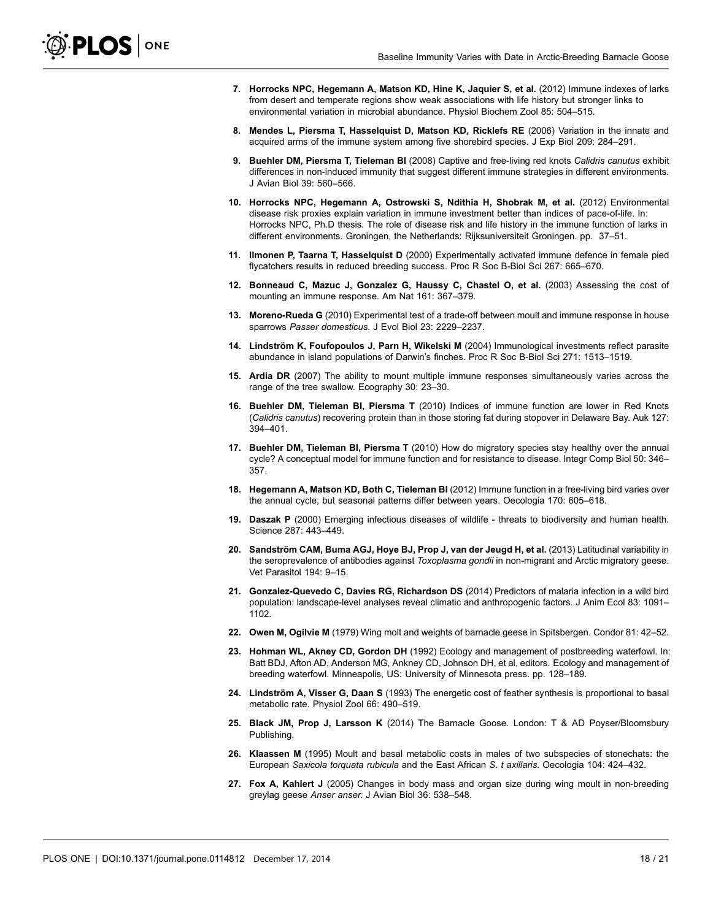- <span id="page-17-0"></span>7. Horrocks NPC, Hegemann A, Matson KD, Hine K, Jaquier S, et al. (2012) Immune indexes of larks from desert and temperate regions show weak associations with life history but stronger links to environmental variation in microbial abundance. Physiol Biochem Zool 85: 504–515.
- 8. Mendes L, Piersma T, Hasselquist D, Matson KD, Ricklefs RE (2006) Variation in the innate and acquired arms of the immune system among five shorebird species. J Exp Biol 209: 284–291.
- 9. Buehler DM, Piersma T, Tieleman BI (2008) Captive and free-living red knots Calidris canutus exhibit differences in non-induced immunity that suggest different immune strategies in different environments. J Avian Biol 39: 560–566.
- 10. Horrocks NPC, Hegemann A, Ostrowski S, Ndithia H, Shobrak M, et al. (2012) Environmental disease risk proxies explain variation in immune investment better than indices of pace-of-life. In: Horrocks NPC, Ph.D thesis. The role of disease risk and life history in the immune function of larks in different environments. Groningen, the Netherlands: Rijksuniversiteit Groningen. pp. 37–51.
- 11. Ilmonen P, Taarna T, Hasselquist D (2000) Experimentally activated immune defence in female pied flycatchers results in reduced breeding success. Proc R Soc B-Biol Sci 267: 665–670.
- 12. Bonneaud C, Mazuc J, Gonzalez G, Haussy C, Chastel O, et al. (2003) Assessing the cost of mounting an immune response. Am Nat 161: 367–379.
- 13. Moreno-Rueda G (2010) Experimental test of a trade-off between moult and immune response in house sparrows Passer domesticus. J Evol Biol 23: 2229–2237.
- 14. Lindström K, Foufopoulos J, Parn H, Wikelski M (2004) Immunological investments reflect parasite abundance in island populations of Darwin's finches. Proc R Soc B-Biol Sci 271: 1513–1519.
- 15. Ardia DR (2007) The ability to mount multiple immune responses simultaneously varies across the range of the tree swallow. Ecography 30: 23–30.
- 16. Buehler DM, Tieleman BI, Piersma T (2010) Indices of immune function are lower in Red Knots (Calidris canutus) recovering protein than in those storing fat during stopover in Delaware Bay. Auk 127: 394–401.
- 17. Buehler DM, Tieleman BI, Piersma T (2010) How do migratory species stay healthy over the annual cycle? A conceptual model for immune function and for resistance to disease. Integr Comp Biol 50: 346– 357.
- 18. Hegemann A, Matson KD, Both C, Tieleman BI (2012) Immune function in a free-living bird varies over the annual cycle, but seasonal patterns differ between years. Oecologia 170: 605–618.
- 19. Daszak P (2000) Emerging infectious diseases of wildlife threats to biodiversity and human health. Science 287: 443–449.
- 20. Sandström CAM, Buma AGJ, Hoye BJ, Prop J, van der Jeugd H, et al. (2013) Latitudinal variability in the seroprevalence of antibodies against Toxoplasma gondii in non-migrant and Arctic migratory geese. Vet Parasitol 194: 9–15.
- 21. Gonzalez-Quevedo C, Davies RG, Richardson DS (2014) Predictors of malaria infection in a wild bird population: landscape-level analyses reveal climatic and anthropogenic factors. J Anim Ecol 83: 1091– 1102.
- 22. Owen M, Ogilvie M (1979) Wing molt and weights of barnacle geese in Spitsbergen. Condor 81: 42–52.
- 23. Hohman WL, Akney CD, Gordon DH (1992) Ecology and management of postbreeding waterfowl. In: Batt BDJ, Afton AD, Anderson MG, Ankney CD, Johnson DH, et al, editors. Ecology and management of breeding waterfowl. Minneapolis, US: University of Minnesota press. pp. 128–189.
- 24. Lindström A, Visser G, Daan S (1993) The energetic cost of feather synthesis is proportional to basal metabolic rate. Physiol Zool 66: 490–519.
- 25. Black JM, Prop J, Larsson K (2014) The Barnacle Goose. London: T & AD Poyser/Bloomsbury Publishing.
- 26. Klaassen M (1995) Moult and basal metabolic costs in males of two subspecies of stonechats: the European Saxicola torquata rubicula and the East African S. t axillaris. Oecologia 104: 424–432.
- 27. Fox A, Kahlert J (2005) Changes in body mass and organ size during wing moult in non-breeding greylag geese Anser anser. J Avian Biol 36: 538–548.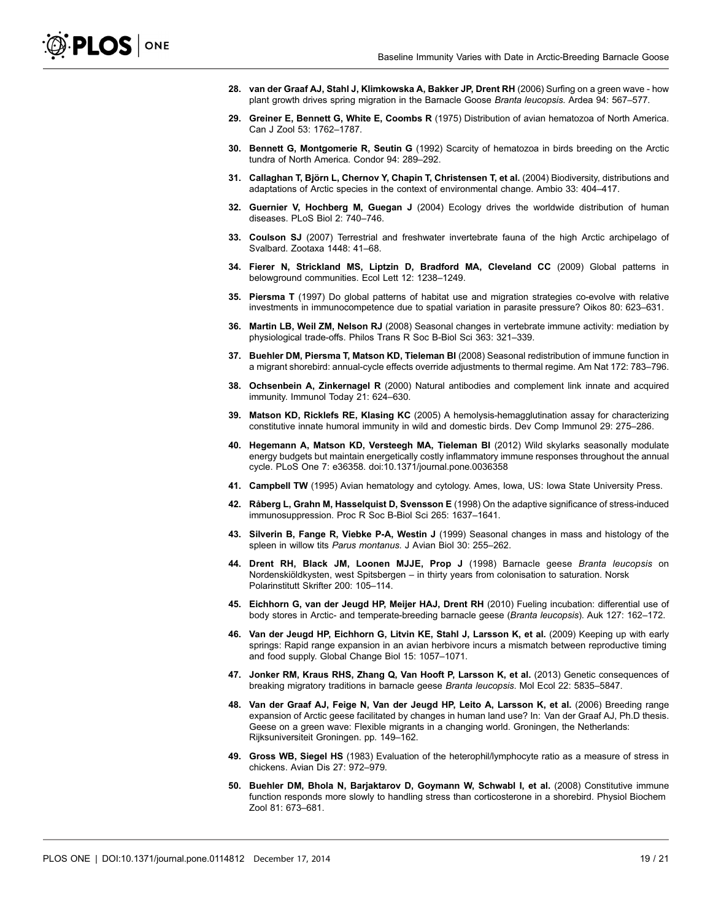- <span id="page-18-0"></span>28. van der Graaf AJ, Stahl J, Klimkowska A, Bakker JP, Drent RH (2006) Surfing on a green wave - how plant growth drives spring migration in the Barnacle Goose Branta leucopsis. Ardea 94: 567–577.
- 29. Greiner E, Bennett G, White E, Coombs R (1975) Distribution of avian hematozoa of North America. Can J Zool 53: 1762–1787.
- 30. Bennett G, Montgomerie R, Seutin G (1992) Scarcity of hematozoa in birds breeding on the Arctic tundra of North America. Condor 94: 289–292.
- 31. Callaghan T, Björn L, Chernov Y, Chapin T, Christensen T, et al. (2004) Biodiversity, distributions and adaptations of Arctic species in the context of environmental change. Ambio 33: 404–417.
- 32. Guernier V, Hochberg M, Guegan J (2004) Ecology drives the worldwide distribution of human diseases. PLoS Biol 2: 740–746.
- 33. Coulson SJ (2007) Terrestrial and freshwater invertebrate fauna of the high Arctic archipelago of Svalbard. Zootaxa 1448: 41–68.
- 34. Fierer N, Strickland MS, Liptzin D, Bradford MA, Cleveland CC (2009) Global patterns in belowground communities. Ecol Lett 12: 1238–1249.
- 35. Piersma T (1997) Do global patterns of habitat use and migration strategies co-evolve with relative investments in immunocompetence due to spatial variation in parasite pressure? Oikos 80: 623–631.
- 36. Martin LB, Weil ZM, Nelson RJ (2008) Seasonal changes in vertebrate immune activity: mediation by physiological trade-offs. Philos Trans R Soc B-Biol Sci 363: 321–339.
- 37. Buehler DM, Piersma T, Matson KD, Tieleman BI (2008) Seasonal redistribution of immune function in a migrant shorebird: annual-cycle effects override adjustments to thermal regime. Am Nat 172: 783–796.
- 38. Ochsenbein A, Zinkernagel R (2000) Natural antibodies and complement link innate and acquired immunity. Immunol Today 21: 624–630.
- 39. Matson KD, Ricklefs RE, Klasing KC (2005) A hemolysis-hemagglutination assay for characterizing constitutive innate humoral immunity in wild and domestic birds. Dev Comp Immunol 29: 275–286.
- 40. Hegemann A, Matson KD, Versteegh MA, Tieleman BI (2012) Wild skylarks seasonally modulate energy budgets but maintain energetically costly inflammatory immune responses throughout the annual cycle. PLoS One 7: e36358. doi:10.1371/journal.pone.0036358
- 41. Campbell TW (1995) Avian hematology and cytology. Ames, Iowa, US: Iowa State University Press.
- 42. Råberg L, Grahn M, Hasselquist D, Svensson E (1998) On the adaptive significance of stress-induced immunosuppression. Proc R Soc B-Biol Sci 265: 1637–1641.
- 43. Silverin B, Fange R, Viebke P-A, Westin J (1999) Seasonal changes in mass and histology of the spleen in willow tits Parus montanus. J Avian Biol 30: 255-262.
- 44. Drent RH, Black JM, Loonen MJJE, Prop J (1998) Barnacle geese Branta leucopsis on Nordenskiöldkysten, west Spitsbergen – in thirty years from colonisation to saturation. Norsk Polarinstitutt Skrifter 200: 105–114.
- 45. Eichhorn G, van der Jeugd HP, Meijer HAJ, Drent RH (2010) Fueling incubation: differential use of body stores in Arctic- and temperate-breeding barnacle geese (Branta leucopsis). Auk 127: 162–172.
- 46. Van der Jeugd HP, Eichhorn G, Litvin KE, Stahl J, Larsson K, et al. (2009) Keeping up with early springs: Rapid range expansion in an avian herbivore incurs a mismatch between reproductive timing and food supply. Global Change Biol 15: 1057–1071.
- 47. Jonker RM, Kraus RHS, Zhang Q, Van Hooft P, Larsson K, et al. (2013) Genetic consequences of breaking migratory traditions in barnacle geese Branta leucopsis. Mol Ecol 22: 5835–5847.
- 48. Van der Graaf AJ, Feige N, Van der Jeugd HP, Leito A, Larsson K, et al. (2006) Breeding range expansion of Arctic geese facilitated by changes in human land use? In: Van der Graaf AJ, Ph.D thesis. Geese on a green wave: Flexible migrants in a changing world. Groningen, the Netherlands: Rijksuniversiteit Groningen. pp. 149–162.
- 49. Gross WB, Siegel HS (1983) Evaluation of the heterophil/lymphocyte ratio as a measure of stress in chickens. Avian Dis 27: 972–979.
- 50. Buehler DM, Bhola N, Barjaktarov D, Goymann W, Schwabl I, et al. (2008) Constitutive immune function responds more slowly to handling stress than corticosterone in a shorebird. Physiol Biochem Zool 81: 673–681.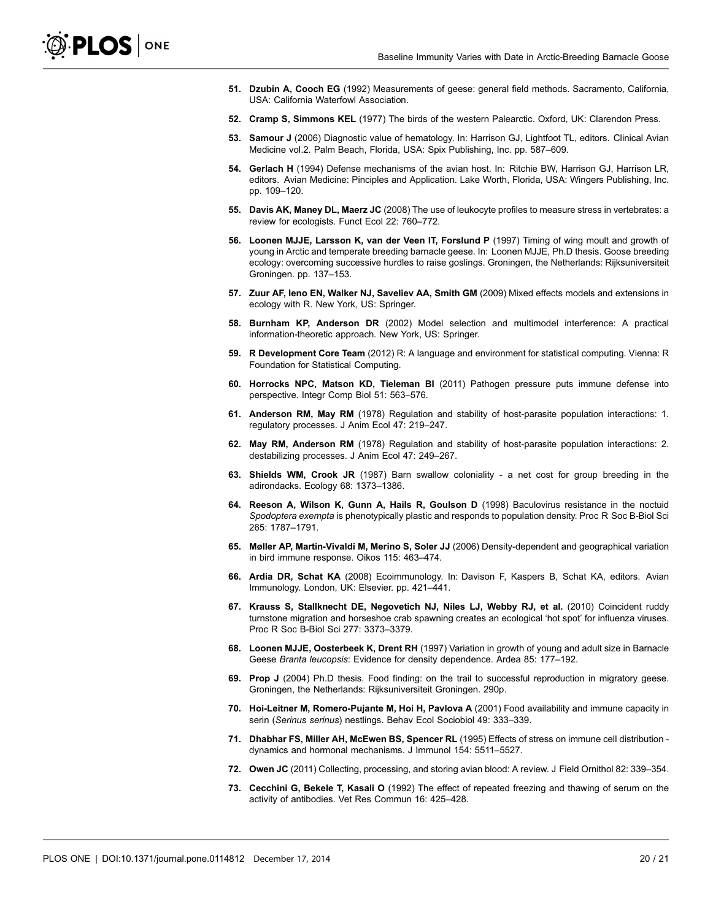- <span id="page-19-0"></span>51. Dzubin A, Cooch EG (1992) Measurements of geese: general field methods. Sacramento, California, USA: California Waterfowl Association.
- 52. Cramp S, Simmons KEL (1977) The birds of the western Palearctic. Oxford, UK: Clarendon Press.
- 53. Samour J (2006) Diagnostic value of hematology. In: Harrison GJ, Lightfoot TL, editors. Clinical Avian Medicine vol.2. Palm Beach, Florida, USA: Spix Publishing, Inc. pp. 587–609.
- 54. Gerlach H (1994) Defense mechanisms of the avian host. In: Ritchie BW, Harrison GJ, Harrison LR, editors. Avian Medicine: Pinciples and Application. Lake Worth, Florida, USA: Wingers Publishing, Inc. pp. 109–120.
- 55. Davis AK, Maney DL, Maerz JC (2008) The use of leukocyte profiles to measure stress in vertebrates: a review for ecologists. Funct Ecol 22: 760–772.
- 56. Loonen MJJE, Larsson K, van der Veen IT, Forslund P (1997) Timing of wing moult and growth of young in Arctic and temperate breeding barnacle geese. In: Loonen MJJE, Ph.D thesis. Goose breeding ecology: overcoming successive hurdles to raise goslings. Groningen, the Netherlands: Rijksuniversiteit Groningen. pp. 137–153.
- 57. Zuur AF, Ieno EN, Walker NJ, Saveliev AA, Smith GM (2009) Mixed effects models and extensions in ecology with R. New York, US: Springer.
- 58. Burnham KP, Anderson DR (2002) Model selection and multimodel interference: A practical information-theoretic approach. New York, US: Springer.
- 59. R Development Core Team (2012) R: A language and environment for statistical computing. Vienna: R Foundation for Statistical Computing.
- 60. Horrocks NPC, Matson KD, Tieleman BI (2011) Pathogen pressure puts immune defense into perspective. Integr Comp Biol 51: 563–576.
- 61. Anderson RM, May RM (1978) Regulation and stability of host-parasite population interactions: 1. regulatory processes. J Anim Ecol 47: 219–247.
- 62. May RM, Anderson RM (1978) Regulation and stability of host-parasite population interactions: 2. destabilizing processes. J Anim Ecol 47: 249–267.
- 63. Shields WM, Crook JR (1987) Barn swallow coloniality a net cost for group breeding in the adirondacks. Ecology 68: 1373–1386.
- 64. Reeson A, Wilson K, Gunn A, Hails R, Goulson D (1998) Baculovirus resistance in the noctuid Spodoptera exempta is phenotypically plastic and responds to population density. Proc R Soc B-Biol Sci 265: 1787–1791.
- 65. Møller AP, Martín-Vivaldi M, Merino S, Soler JJ (2006) Density-dependent and geographical variation in bird immune response. Oikos 115: 463–474.
- 66. Ardia DR, Schat KA (2008) Ecoimmunology. In: Davison F, Kaspers B, Schat KA, editors. Avian Immunology. London, UK: Elsevier. pp. 421–441.
- 67. Krauss S, Stallknecht DE, Negovetich NJ, Niles LJ, Webby RJ, et al. (2010) Coincident ruddy turnstone migration and horseshoe crab spawning creates an ecological 'hot spot' for influenza viruses. Proc R Soc B-Biol Sci 277: 3373–3379.
- 68. Loonen MJJE, Oosterbeek K, Drent RH (1997) Variation in growth of young and adult size in Barnacle Geese Branta leucopsis: Evidence for density dependence. Ardea 85: 177–192.
- 69. Prop J (2004) Ph.D thesis. Food finding: on the trail to successful reproduction in migratory geese. Groningen, the Netherlands: Rijksuniversiteit Groningen. 290p.
- 70. Hoi-Leitner M, Romero-Pujante M, Hoi H, Pavlova A (2001) Food availability and immune capacity in serin (Serinus serinus) nestlings. Behav Ecol Sociobiol 49: 333–339.
- 71. Dhabhar FS, Miller AH, McEwen BS, Spencer RL (1995) Effects of stress on immune cell distribution dynamics and hormonal mechanisms. J Immunol 154: 5511–5527.
- 72. Owen JC (2011) Collecting, processing, and storing avian blood: A review. J Field Ornithol 82: 339–354.
- 73. Cecchini G, Bekele T, Kasali O (1992) The effect of repeated freezing and thawing of serum on the activity of antibodies. Vet Res Commun 16: 425–428.